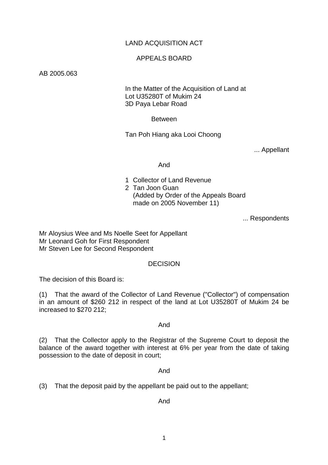# LAND ACQUISITION ACT

### APPEALS BOARD

### AB 2005.063

 In the Matter of the Acquisition of Land at Lot U35280T of Mukim 24 3D Paya Lebar Road

Between

Tan Poh Hiang aka Looi Choong

... Appellant

And

- 1 Collector of Land Revenue
- 2 Tan Joon Guan
	- (Added by Order of the Appeals Board made on 2005 November 11)

... Respondents

Mr Aloysius Wee and Ms Noelle Seet for Appellant Mr Leonard Goh for First Respondent Mr Steven Lee for Second Respondent

## **DECISION**

The decision of this Board is:

(1) That the award of the Collector of Land Revenue ("Collector") of compensation in an amount of \$260 212 in respect of the land at Lot U35280T of Mukim 24 be increased to \$270 212;

And

(2) That the Collector apply to the Registrar of the Supreme Court to deposit the balance of the award together with interest at 6% per year from the date of taking possession to the date of deposit in court;

### And

(3) That the deposit paid by the appellant be paid out to the appellant;

### And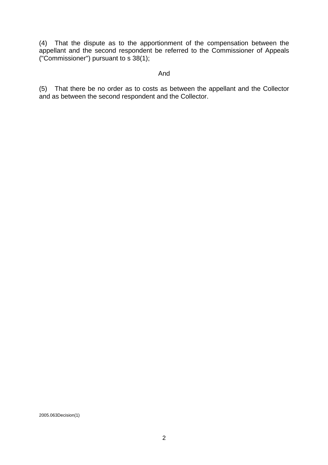(4) That the dispute as to the apportionment of the compensation between the appellant and the second respondent be referred to the Commissioner of Appeals ("Commissioner") pursuant to s 38(1);

### And

(5) That there be no order as to costs as between the appellant and the Collector and as between the second respondent and the Collector.

2005.063Decision(1)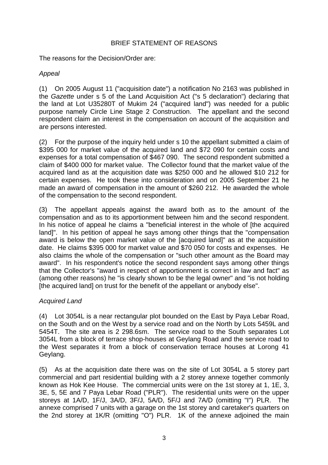# BRIEF STATEMENT OF REASONS

The reasons for the Decision/Order are:

# *Appeal*

(1) On 2005 August 11 ("acquisition date") a notification No 2163 was published in the *Gazette* under s 5 of the Land Acquisition Act ("s 5 declaration") declaring that the land at Lot U35280T of Mukim 24 ("acquired land") was needed for a public purpose namely Circle Line Stage 2 Construction. The appellant and the second respondent claim an interest in the compensation on account of the acquisition and are persons interested.

(2) For the purpose of the inquiry held under s 10 the appellant submitted a claim of \$395 000 for market value of the acquired land and \$72 090 for certain costs and expenses for a total compensation of \$467 090. The second respondent submitted a claim of \$400 000 for market value. The Collector found that the market value of the acquired land as at the acquisition date was \$250 000 and he allowed \$10 212 for certain expenses. He took these into consideration and on 2005 September 21 he made an award of compensation in the amount of \$260 212. He awarded the whole of the compensation to the second respondent.

(3) The appellant appeals against the award both as to the amount of the compensation and as to its apportionment between him and the second respondent. In his notice of appeal he claims a "beneficial interest in the whole of [the acquired land]". In his petition of appeal he says among other things that the "compensation award is below the open market value of the [acquired land]" as at the acquisition date. He claims \$395 000 for market value and \$70 050 for costs and expenses. He also claims the whole of the compensation or "such other amount as the Board may award". In his respondent's notice the second respondent says among other things that the Collector's "award in respect of apportionment is correct in law and fact" as (among other reasons) he "is clearly shown to be the legal owner" and "is not holding [the acquired land] on trust for the benefit of the appellant or anybody else".

# *Acquired Land*

(4) Lot 3054L is a near rectangular plot bounded on the East by Paya Lebar Road, on the South and on the West by a service road and on the North by Lots 5459L and 5454T. The site area is 2 298.6sm. The service road to the South separates Lot 3054L from a block of terrace shop-houses at Geylang Road and the service road to the West separates it from a block of conservation terrace houses at Lorong 41 Geylang.

(5) As at the acquisition date there was on the site of Lot 3054L a 5 storey part commercial and part residential building with a 2 storey annexe together commonly known as Hok Kee House. The commercial units were on the 1st storey at 1, 1E, 3, 3E, 5, 5E and 7 Paya Lebar Road ("PLR"). The residential units were on the upper storeys at 1A/D, 1F/J, 3A/D, 3F/J, 5A/D, 5F/J and 7A/D (omitting "I") PLR. The annexe comprised 7 units with a garage on the 1st storey and caretaker's quarters on the 2nd storey at 1K/R (omitting "O") PLR. 1K of the annexe adjoined the main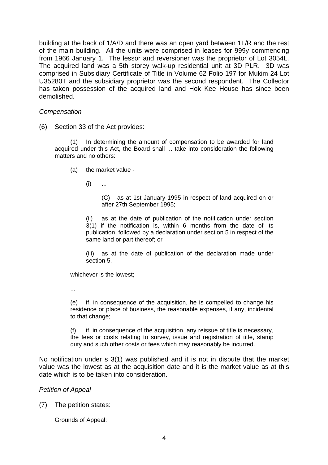building at the back of 1/A/D and there was an open yard between 1L/R and the rest of the main building. All the units were comprised in leases for 999y commencing from 1966 January 1. The lessor and reversioner was the proprietor of Lot 3054L. The acquired land was a 5th storey walk-up residential unit at 3D PLR. 3D was comprised in Subsidiary Certificate of Title in Volume 62 Folio 197 for Mukim 24 Lot U35280T and the subsidiary proprietor was the second respondent. The Collector has taken possession of the acquired land and Hok Kee House has since been demolished.

### *Compensation*

(6) Section 33 of the Act provides:

(1) In determining the amount of compensation to be awarded for land acquired under this Act, the Board shall ... take into consideration the following matters and no others:

- (a) the market value
	- $(i)$  ...

(C) as at 1st January 1995 in respect of land acquired on or after 27th September 1995;

(ii) as at the date of publication of the notification under section 3(1) if the notification is, within 6 months from the date of its publication, followed by a declaration under section 5 in respect of the same land or part thereof; or

(iii) as at the date of publication of the declaration made under section 5,

whichever is the lowest;

...

(e) if, in consequence of the acquisition, he is compelled to change his residence or place of business, the reasonable expenses, if any, incidental to that change;

(f) if, in consequence of the acquisition, any reissue of title is necessary, the fees or costs relating to survey, issue and registration of title, stamp duty and such other costs or fees which may reasonably be incurred.

No notification under s 3(1) was published and it is not in dispute that the market value was the lowest as at the acquisition date and it is the market value as at this date which is to be taken into consideration.

## *Petition of Appeal*

(7) The petition states:

Grounds of Appeal: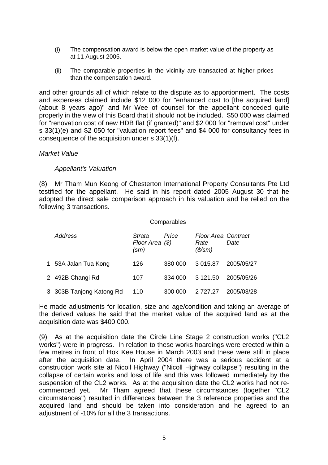- (i) The compensation award is below the open market value of the property as at 11 August 2005.
- (ii) The comparable properties in the vicinity are transacted at higher prices than the compensation award.

and other grounds all of which relate to the dispute as to apportionment. The costs and expenses claimed include \$12 000 for "enhanced cost to [the acquired land] (about 8 years ago)" and Mr Wee of counsel for the appellant conceded quite properly in the view of this Board that it should not be included. \$50 000 was claimed for "renovation cost of new HDB flat (if granted)" and \$2 000 for "removal cost" under s 33(1)(e) and \$2 050 for "valuation report fees" and \$4 000 for consultancy fees in consequence of the acquisition under s 33(1)(f).

### *Market Value*

## *Appellant's Valuation*

(8) Mr Tham Mun Keong of Chesterton International Property Consultants Pte Ltd testified for the appellant. He said in his report dated 2005 August 30 that he adopted the direct sale comparison approach in his valuation and he relied on the following 3 transactions.

#### **Comparables**

| Address                  | Strata<br>Floor Area (\$)<br>$\text{(sm)}$ | Price   | <b>Floor Area Contract</b><br>Rate<br>$($\mathsf{/}sm)$ | Date       |
|--------------------------|--------------------------------------------|---------|---------------------------------------------------------|------------|
| 1 53A Jalan Tua Kong     | 126                                        | 380 000 | 3 015.87                                                | 2005/05/27 |
| 2 492B Changi Rd         | 107                                        | 334 000 | 3 121.50                                                | 2005/05/26 |
| 3 303B Tanjong Katong Rd | 110                                        | 300 000 | 2 7 2 7.27                                              | 2005/03/28 |

He made adjustments for location, size and age/condition and taking an average of the derived values he said that the market value of the acquired land as at the acquisition date was \$400 000.

(9) As at the acquisition date the Circle Line Stage 2 construction works ("CL2 works") were in progress. In relation to these works hoardings were erected within a few metres in front of Hok Kee House in March 2003 and these were still in place after the acquisition date. In April 2004 there was a serious accident at a construction work site at Nicoll Highway ("Nicoll Highway collapse") resulting in the collapse of certain works and loss of life and this was followed immediately by the suspension of the CL2 works. As at the acquisition date the CL2 works had not recommenced yet. Mr Tham agreed that these circumstances (together "CL2 circumstances") resulted in differences between the 3 reference properties and the acquired land and should be taken into consideration and he agreed to an adjustment of -10% for all the 3 transactions.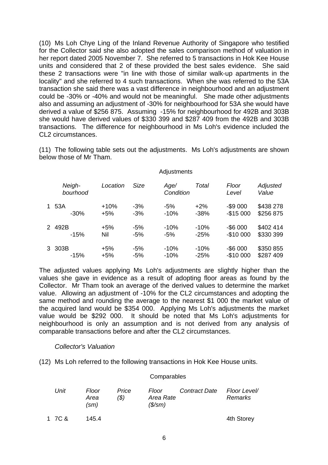(10) Ms Loh Chye Ling of the Inland Revenue Authority of Singapore who testified for the Collector said she also adopted the sales comparison method of valuation in her report dated 2005 November 7. She referred to 5 transactions in Hok Kee House units and considered that 2 of these provided the best sales evidence. She said these 2 transactions were "in line with those of similar walk-up apartments in the locality" and she referred to 4 such transactions. When she was referred to the 53A transaction she said there was a vast difference in neighbourhood and an adjustment could be -30% or -40% and would not be meaningful. She made other adjustments also and assuming an adjustment of -30% for neighbourhood for 53A she would have derived a value of \$256 875. Assuming -15% for neighbourhood for 492B and 303B she would have derived values of \$330 399 and \$287 409 from the 492B and 303B transactions. The difference for neighbourhood in Ms Loh's evidence included the CL2 circumstances.

(11) The following table sets out the adjustments. Ms Loh's adjustments are shown below those of Mr Tham.

#### **Adjustments**

| Neigh-<br>bourhood | Location | Size  | Age/<br>Condition | Total  | Floor<br>Level | Adjusted<br>Value |
|--------------------|----------|-------|-------------------|--------|----------------|-------------------|
| 1 53A              | $+10%$   | $-3%$ | $-5%$             | $+2\%$ | $-$ \$9 000    | \$438 278         |
| $-30\%$            | $+5%$    | $-3%$ | $-10%$            | $-38%$ | $-$15000$      | \$256 875         |
| 2492B              | $+5%$    | -5%   | $-10%$            | $-10%$ | $-$ \$6 000    | \$402 414         |
| $-15%$             | Nil      | $-5%$ | -5%               | $-25%$ | $-$1000$       | \$330 399         |
| 3 303B             | $+5%$    | -5%   | $-10%$            | $-10%$ | $-$ \$6 000    | \$350 855         |
| $-15%$             | $+5%$    | -5%   | $-10%$            | $-25%$ | $-$1000$       | \$287 409         |

The adjusted values applying Ms Loh's adjustments are slightly higher than the values she gave in evidence as a result of adopting floor areas as found by the Collector. Mr Tham took an average of the derived values to determine the market value. Allowing an adjustment of -10% for the CL2 circumstances and adopting the same method and rounding the average to the nearest \$1 000 the market value of the acquired land would be \$354 000. Applying Ms Loh's adjustments the market value would be \$292 000. It should be noted that Ms Loh's adjustments for neighbourhood is only an assumption and is not derived from any analysis of comparable transactions before and after the CL2 circumstances.

### *Collector's Valuation*

(12) Ms Loh referred to the following transactions in Hok Kee House units.

#### **Comparables**

| Unit   | Floor<br>Area<br>$\text{(sm)}$ | Price<br>(\$) | Floor<br>Area Rate<br>$($\mathsf{/} \mathsf{S}\mathsf{/} \mathsf{S}\mathsf{m})$ | Contract Date | Floor Level/<br>Remarks |
|--------|--------------------------------|---------------|---------------------------------------------------------------------------------|---------------|-------------------------|
| 1 7C & | 145.4                          |               |                                                                                 |               | 4th Storey              |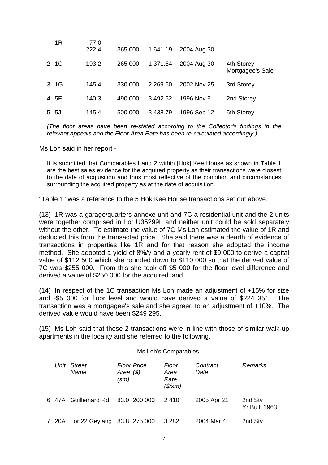| 1R    | <u>77.0</u><br>222.4 | 365 000 | 1 641.19    | 2004 Aug 30 |                                |
|-------|----------------------|---------|-------------|-------------|--------------------------------|
| 2 1 C | 193.2                | 265 000 | 1 371.64    | 2004 Aug 30 | 4th Storey<br>Mortgagee's Sale |
| 3 1 G | 145.4                | 330 000 | 2 2 6 9 6 0 | 2002 Nov 25 | 3rd Storey                     |
| 4 5F  | 140.3                | 490 000 | 3492.52     | 1996 Nov 6  | 2nd Storey                     |
| 5 5J  | 145.4                | 500 000 | 3 4 3 8.79  | 1996 Sep 12 | 5th Storey                     |

*(The floor areas have been re-stated according to the Collector's findings in the relevant appeals and the Floor Area Rate has been re-calculated accordingly.)* 

Ms Loh said in her report -

It is submitted that Comparables I and 2 within [Hok] Kee House as shown in Table 1 are the best sales evidence for the acquired property as their transactions were closest to the date of acquisition and thus most reflective of the condition and circumstances surrounding the acquired property as at the date of acquisition.

"Table 1" was a reference to the 5 Hok Kee House transactions set out above.

(13) 1R was a garage/quarters annexe unit and 7C a residential unit and the 2 units were together comprised in Lot U35299L and neither unit could be sold separately without the other. To estimate the value of 7C Ms Loh estimated the value of 1R and deducted this from the transacted price. She said there was a dearth of evidence of transactions in properties like 1R and for that reason she adopted the income method. She adopted a yield of 8%/y and a yearly rent of \$9 000 to derive a capital value of \$112 500 which she rounded down to \$110 000 so that the derived value of 7C was \$255 000. From this she took off \$5 000 for the floor level difference and derived a value of \$250 000 for the acquired land.

(14) In respect of the 1C transaction Ms Loh made an adjustment of +15% for size and -\$5 000 for floor level and would have derived a value of \$224 351. The transaction was a mortgagee's sale and she agreed to an adjustment of +10%. The derived value would have been \$249 295.

(15) Ms Loh said that these 2 transactions were in line with those of similar walk-up apartments in the locality and she referred to the following.

#### Ms Loh's Comparables

|  | Unit Street<br>Name  | <b>Floor Price</b><br>Area $($ \$)<br>(sm) | Floor<br>Area<br>Rate<br>$($\mathsf{/}sm)$ | Contract<br>Date | Remarks                         |
|--|----------------------|--------------------------------------------|--------------------------------------------|------------------|---------------------------------|
|  | 6 47A Guillemard Rd  | 83.0 200 000                               | 2410                                       | 2005 Apr 21      | 2nd Sty<br><b>Yr Built 1963</b> |
|  | 7 20A Lor 22 Geylang | 83.8 275 000                               | 3 2 8 2                                    | 2004 Mar 4       | 2nd Sty                         |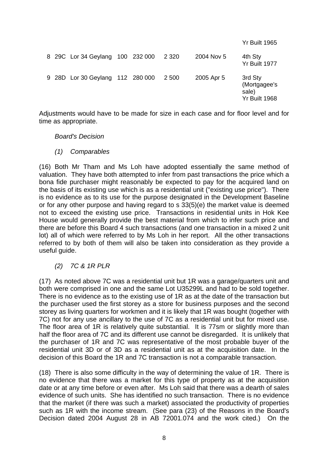|  |                                  |  |         |            | <b>Yr Built 1965</b>                              |
|--|----------------------------------|--|---------|------------|---------------------------------------------------|
|  | 8 29C Lor 34 Geylang 100 232 000 |  | 2 3 2 0 | 2004 Nov 5 | 4th Sty<br><b>Yr Built 1977</b>                   |
|  | 9 28D Lor 30 Geylang 112 280 000 |  | 2 500   | 2005 Apr 5 | 3rd Sty<br>(Mortgagee's<br>sale)<br>Yr Built 1968 |

Adjustments would have to be made for size in each case and for floor level and for time as appropriate.

*Board's Decision* 

*(1) Comparables* 

(16) Both Mr Tham and Ms Loh have adopted essentially the same method of valuation. They have both attempted to infer from past transactions the price which a bona fide purchaser might reasonably be expected to pay for the acquired land on the basis of its existing use which is as a residential unit ("existing use price"). There is no evidence as to its use for the purpose designated in the Development Baseline or for any other purpose and having regard to s 33(5)(e) the market value is deemed not to exceed the existing use price. Transactions in residential units in Hok Kee House would generally provide the best material from which to infer such price and there are before this Board 4 such transactions (and one transaction in a mixed 2 unit lot) all of which were referred to by Ms Loh in her report. All the other transactions referred to by both of them will also be taken into consideration as they provide a useful guide.

*(2) 7C & 1R PLR* 

(17) As noted above 7C was a residential unit but 1R was a garage/quarters unit and both were comprised in one and the same Lot U35299L and had to be sold together. There is no evidence as to the existing use of 1R as at the date of the transaction but the purchaser used the first storey as a store for business purposes and the second storey as living quarters for workmen and it is likely that 1R was bought (together with 7C) not for any use ancillary to the use of 7C as a residential unit but for mixed use. The floor area of 1R is relatively quite substantial. It is 77sm or slightly more than half the floor area of 7C and its different use cannot be disregarded. It is unlikely that the purchaser of 1R and 7C was representative of the most probable buyer of the residential unit 3D or of 3D as a residential unit as at the acquisition date. In the decision of this Board the 1R and 7C transaction is not a comparable transaction.

(18) There is also some difficulty in the way of determining the value of 1R. There is no evidence that there was a market for this type of property as at the acquisition date or at any time before or even after. Ms Loh said that there was a dearth of sales evidence of such units. She has identified no such transaction. There is no evidence that the market (if there was such a market) associated the productivity of properties such as 1R with the income stream. (See para (23) of the Reasons in the Board's Decision dated 2004 August 28 in AB 72001.074 and the work cited.) On the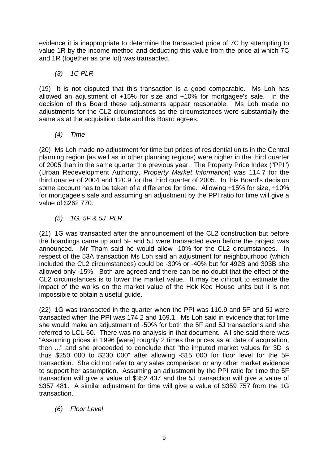evidence it is inappropriate to determine the transacted price of 7C by attempting to value 1R by the income method and deducting this value from the price at which 7C and 1R (together as one lot) was transacted.

*(3) 1C PLR* 

(19) It is not disputed that this transaction is a good comparable. Ms Loh has allowed an adjustment of +15% for size and +10% for mortgagee's sale. In the decision of this Board these adjustments appear reasonable. Ms Loh made no adjustments for the CL2 circumstances as the circumstances were substantially the same as at the acquisition date and this Board agrees.

*(4) Time* 

(20) Ms Loh made no adjustment for time but prices of residential units in the Central planning region (as well as in other planning regions) were higher in the third quarter of 2005 than in the same quarter the previous year. The Property Price Index ("PPI") (Urban Redevelopment Authority, *Property Market Information*) was 114.7 for the third quarter of 2004 and 120.9 for the third quarter of 2005. In this Board's decision some account has to be taken of a difference for time. Allowing +15% for size, +10% for mortgagee's sale and assuming an adjustment by the PPI ratio for time will give a value of \$262 770.

*(5) 1G, 5F & 5J PLR* 

(21) 1G was transacted after the announcement of the CL2 construction but before the hoardings came up and 5F and 5J were transacted even before the project was announced. Mr Tham said he would allow -10% for the CL2 circumstances. In respect of the 53A transaction Ms Loh said an adjustment for neighbourhood (which included the CL2 circumstances) could be -30% or -40% but for 492B and 303B she allowed only -15%. Both are agreed and there can be no doubt that the effect of the CL2 circumstances is to lower the market value. It may be difficult to estimate the impact of the works on the market value of the Hok Kee House units but it is not impossible to obtain a useful guide.

(22) 1G was transacted in the quarter when the PPI was 110.9 and 5F and 5J were transacted when the PPI was 174.2 and 169.1. Ms Loh said in evidence that for time she would make an adjustment of -50% for both the 5F and 5J transactions and she referred to LCL-60. There was no analysis in that document. All she said there was "Assuming prices in 1996 [were] roughly 2 times the prices as at date of acquisition, then ..." and she proceeded to conclude that "the imputed market values for 3D is thus \$250 000 to \$230 000" after allowing -\$15 000 for floor level for the 5F transaction. She did not refer to any sales comparison or any other market evidence to support her assumption. Assuming an adjustment by the PPI ratio for time the 5F transaction will give a value of \$352 437 and the 5J transaction will give a value of \$357 481. A similar adjustment for time will give a value of \$359 757 from the 1G transaction.

*(6) Floor Level*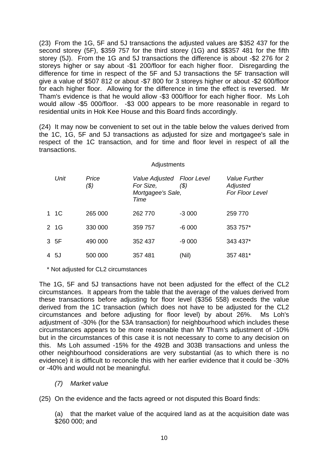(23) From the 1G, 5F and 5J transactions the adjusted values are \$352 437 for the second storey (5F), \$359 757 for the third storey (1G) and \$\$357 481 for the fifth storey (5J). From the 1G and 5J transactions the difference is about -\$2 276 for 2 storeys higher or say about -\$1 200/floor for each higher floor. Disregarding the difference for time in respect of the 5F and 5J transactions the 5F transaction will give a value of \$507 812 or about -\$7 800 for 3 storeys higher or about -\$2 600/floor for each higher floor. Allowing for the difference in time the effect is reversed. Mr Tham's evidence is that he would allow -\$3 000/floor for each higher floor. Ms Loh would allow -\$5 000/floor. -\$3 000 appears to be more reasonable in regard to residential units in Hok Kee House and this Board finds accordingly.

(24) It may now be convenient to set out in the table below the values derived from the 1C, 1G, 5F and 5J transactions as adjusted for size and mortgagee's sale in respect of the 1C transaction, and for time and floor level in respect of all the transactions.

#### Adjustments

| Unit  | Price<br>(\$) | Value Adjusted Floor Level<br>For Size,<br>Mortgagee's Sale,<br>Time | (\$)    | <b>Value Further</b><br>Adjusted<br>For Floor Level |
|-------|---------------|----------------------------------------------------------------------|---------|-----------------------------------------------------|
| 1 1 C | 265 000       | 262 770                                                              | $-3000$ | 259 770                                             |
| 2 1G  | 330 000       | 359 757                                                              | $-6000$ | 353 757*                                            |
| 3 5F  | 490 000       | 352 437                                                              | $-9000$ | 343 437*                                            |
| 45J   | 500 000       | 357481                                                               | (Nil)   | 357 481*                                            |

\* Not adjusted for CL2 circumstances

The 1G, 5F and 5J transactions have not been adjusted for the effect of the CL2 circumstances. It appears from the table that the average of the values derived from these transactions before adjusting for floor level (\$356 558) exceeds the value derived from the 1C transaction (which does not have to be adjusted for the CL2 circumstances and before adjusting for floor level) by about 26%. Ms Loh's adjustment of -30% (for the 53A transaction) for neighbourhood which includes these circumstances appears to be more reasonable than Mr Tham's adjustment of -10% but in the circumstances of this case it is not necessary to come to any decision on this. Ms Loh assumed -15% for the 492B and 303B transactions and unless the other neighbourhood considerations are very substantial (as to which there is no evidence) it is difficult to reconcile this with her earlier evidence that it could be -30% or -40% and would not be meaningful.

*(7) Market value* 

(25) On the evidence and the facts agreed or not disputed this Board finds:

(a) that the market value of the acquired land as at the acquisition date was \$260 000; and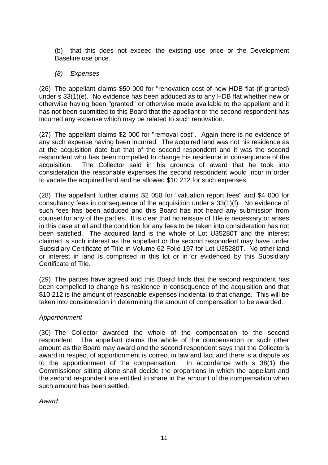(b) that this does not exceed the existing use price or the Development Baseline use price.

# *(8) Expenses*

(26) The appellant claims \$50 000 for "renovation cost of new HDB flat (if granted) under s 33(1)(e). No evidence has been adduced as to any HDB flat whether new or otherwise having been "granted" or otherwise made available to the appellant and it has not been submitted to this Board that the appellant or the second respondent has incurred any expense which may be related to such renovation.

(27) The appellant claims \$2 000 for "removal cost". Again there is no evidence of any such expense having been incurred. The acquired land was not his residence as at the acquisition date but that of the second respondent and it was the second respondent who has been compelled to change his residence in consequence of the acquisition. The Collector said in his grounds of award that he took into consideration the reasonable expenses the second respondent would incur in order to vacate the acquired land and he allowed \$10 212 for such expenses.

(28) The appellant further claims \$2 050 for "valuation report fees" and \$4 000 for consultancy fees in consequence of the acquisition under s 33(1)(f). No evidence of such fees has been adduced and this Board has not heard any submission from counsel for any of the parties. It is clear that no reissue of title is necessary or arises in this case at all and the condition for any fees to be taken into consideration has not been satisfied. The acquired land is the whole of Lot U35280T and the interest claimed is such interest as the appellant or the second respondent may have under Subsidiary Certificate of Title in Volume 62 Folio 197 for Lot U35280T. No other land or interest in land is comprised in this lot or in or evidenced by this Subsidiary Certificate of Tile.

(29) The parties have agreed and this Board finds that the second respondent has been compelled to change his residence in consequence of the acquisition and that \$10 212 is the amount of reasonable expenses incidental to that change. This will be taken into consideration in determining the amount of compensation to be awarded.

## *Apportionment*

(30) The Collector awarded the whole of the compensation to the second respondent. The appellant claims the whole of the compensation or such other amount as the Board may award and the second respondent says that the Collector's award in respect of apportionment is correct in law and fact and there is a dispute as to the apportionment of the compensation. In accordance with s 38(1) the Commissioner sitting alone shall decide the proportions in which the appellant and the second respondent are entitled to share in the amount of the compensation when such amount has been settled.

*Award*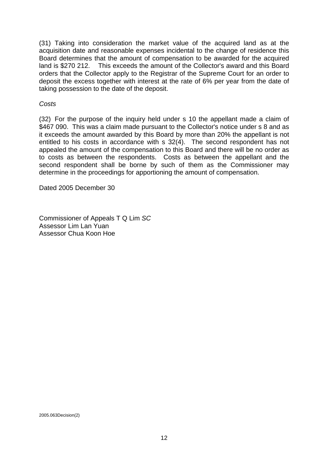(31) Taking into consideration the market value of the acquired land as at the acquisition date and reasonable expenses incidental to the change of residence this Board determines that the amount of compensation to be awarded for the acquired land is \$270 212. This exceeds the amount of the Collector's award and this Board orders that the Collector apply to the Registrar of the Supreme Court for an order to deposit the excess together with interest at the rate of 6% per year from the date of taking possession to the date of the deposit.

### *Costs*

(32) For the purpose of the inquiry held under s 10 the appellant made a claim of \$467 090. This was a claim made pursuant to the Collector's notice under s 8 and as it exceeds the amount awarded by this Board by more than 20% the appellant is not entitled to his costs in accordance with s 32(4). The second respondent has not appealed the amount of the compensation to this Board and there will be no order as to costs as between the respondents. Costs as between the appellant and the second respondent shall be borne by such of them as the Commissioner may determine in the proceedings for apportioning the amount of compensation.

Dated 2005 December 30

Commissioner of Appeals T Q Lim *SC*  Assessor Lim Lan Yuan Assessor Chua Koon Hoe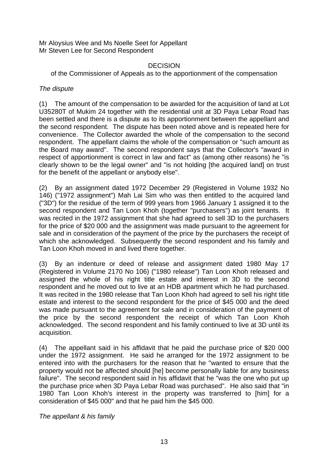Mr Aloysius Wee and Ms Noelle Seet for Appellant Mr Steven Lee for Second Respondent

## DECISION

of the Commissioner of Appeals as to the apportionment of the compensation

# *The dispute*

(1) The amount of the compensation to be awarded for the acquisition of land at Lot U35280T of Mukim 24 together with the residential unit at 3D Paya Lebar Road has been settled and there is a dispute as to its apportionment between the appellant and the second respondent. The dispute has been noted above and is repeated here for convenience. The Collector awarded the whole of the compensation to the second respondent. The appellant claims the whole of the compensation or "such amount as the Board may award". The second respondent says that the Collector's "award in respect of apportionment is correct in law and fact" as (among other reasons) he "is clearly shown to be the legal owner" and "is not holding [the acquired land] on trust for the benefit of the appellant or anybody else".

(2) By an assignment dated 1972 December 29 (Registered in Volume 1932 No 146) ("1972 assignment") Mah Lai Sim who was then entitled to the acquired land ("3D") for the residue of the term of 999 years from 1966 January 1 assigned it to the second respondent and Tan Loon Khoh (together "purchasers") as joint tenants. It was recited in the 1972 assignment that she had agreed to sell 3D to the purchasers for the price of \$20 000 and the assignment was made pursuant to the agreement for sale and in consideration of the payment of the price by the purchasers the receipt of which she acknowledged. Subsequently the second respondent and his family and Tan Loon Khoh moved in and lived there together.

(3) By an indenture or deed of release and assignment dated 1980 May 17 (Registered in Volume 2170 No 106) ("1980 release") Tan Loon Khoh released and assigned the whole of his right title estate and interest in 3D to the second respondent and he moved out to live at an HDB apartment which he had purchased. It was recited in the 1980 release that Tan Loon Khoh had agreed to sell his right title estate and interest to the second respondent for the price of \$45 000 and the deed was made pursuant to the agreement for sale and in consideration of the payment of the price by the second respondent the receipt of which Tan Loon Khoh acknowledged. The second respondent and his family continued to live at 3D until its acquisition.

(4) The appellant said in his affidavit that he paid the purchase price of \$20 000 under the 1972 assignment. He said he arranged for the 1972 assignment to be entered into with the purchasers for the reason that he "wanted to ensure that the property would not be affected should [he] become personally liable for any business failure". The second respondent said in his affidavit that he "was the one who put up the purchase price when 3D Paya Lebar Road was purchased". He also said that "in 1980 Tan Loon Khoh's interest in the property was transferred to [him] for a consideration of \$45 000" and that he paid him the \$45 000.

*The appellant & his family*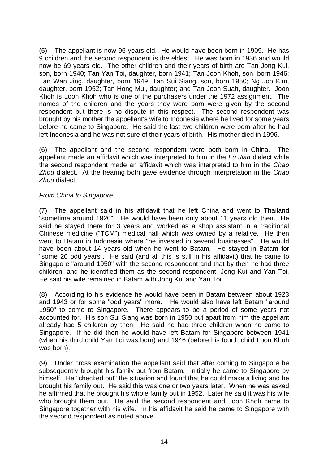(5) The appellant is now 96 years old. He would have been born in 1909. He has 9 children and the second respondent is the eldest. He was born in 1936 and would now be 69 years old. The other children and their years of birth are Tan Jong Kui, son, born 1940; Tan Yan Toi, daughter, born 1941; Tan Joon Khoh, son, born 1946; Tan Wan Jing, daughter, born 1949; Tan Sui Siang, son, born 1950; Ng Joo Kim, daughter, born 1952; Tan Hong Mui, daughter; and Tan Joon Suah, daughter. Joon Khoh is Loon Khoh who is one of the purchasers under the 1972 assignment. The names of the children and the years they were born were given by the second respondent but there is no dispute in this respect. The second respondent was brought by his mother the appellant's wife to Indonesia where he lived for some years before he came to Singapore. He said the last two children were born after he had left Indonesia and he was not sure of their years of birth. His mother died in 1996.

(6) The appellant and the second respondent were both born in China. The appellant made an affidavit which was interpreted to him in the *Fu Jian* dialect while the second respondent made an affidavit which was interpreted to him in the *Chao Zhou* dialect. At the hearing both gave evidence through interpretation in the *Chao Zhou* dialect.

## *From China to Singapore*

(7) The appellant said in his affidavit that he left China and went to Thailand "sometime around 1920". He would have been only about 11 years old then. He said he stayed there for 3 years and worked as a shop assistant in a traditional Chinese medicine ("TCM") medical hall which was owned by a relative. He then went to Batam in Indonesia where "he invested in several businesses". He would have been about 14 years old when he went to Batam. He stayed in Batam for "some 20 odd years". He said (and all this is still in his affidavit) that he came to Singapore "around 1950" with the second respondent and that by then he had three children, and he identified them as the second respondent, Jong Kui and Yan Toi. He said his wife remained in Batam with Jong Kui and Yan Toi.

(8) According to his evidence he would have been in Batam between about 1923 and 1943 or for some "odd years" more. He would also have left Batam "around 1950" to come to Singapore. There appears to be a period of some years not accounted for. His son Sui Siang was born in 1950 but apart from him the appellant already had 5 children by then. He said he had three children when he came to Singapore. If he did then he would have left Batam for Singapore between 1941 (when his third child Yan Toi was born) and 1946 (before his fourth child Loon Khoh was born).

(9) Under cross examination the appellant said that after coming to Singapore he subsequently brought his family out from Batam. Initially he came to Singapore by himself. He "checked out" the situation and found that he could make a living and he brought his family out. He said this was one or two years later. When he was asked he affirmed that he brought his whole family out in 1952. Later he said it was his wife who brought them out. He said the second respondent and Loon Khoh came to Singapore together with his wife. In his affidavit he said he came to Singapore with the second respondent as noted above.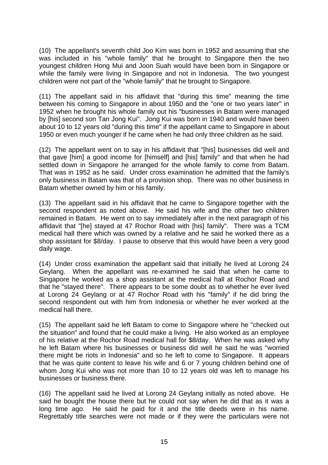(10) The appellant's seventh child Joo Kim was born in 1952 and assuming that she was included in his "whole family" that he brought to Singapore then the two youngest children Hong Mui and Joon Suah would have been born in Singapore or while the family were living in Singapore and not in Indonesia. The two youngest children were not part of the "whole family" that he brought to Singapore.

(11) The appellant said in his affidavit that "during this time" meaning the time between his coming to Singapore in about 1950 and the "one or two years later" in 1952 when he brought his whole family out his "businesses in Batam were managed by [his] second son Tan Jong Kui". Jong Kui was born in 1940 and would have been about 10 to 12 years old "during this time" if the appellant came to Singapore in about 1950 or even much younger if he came when he had only three children as he said.

(12) The appellant went on to say in his affidavit that "[his] businesses did well and that gave [him] a good income for [himself] and [his] family" and that when he had settled down in Singapore he arranged for the whole family to come from Batam. That was in 1952 as he said. Under cross examination he admitted that the family's only business in Batam was that of a provision shop. There was no other business in Batam whether owned by him or his family.

(13) The appellant said in his affidavit that he came to Singapore together with the second respondent as noted above. He said his wife and the other two children remained in Batam. He went on to say immediately after in the next paragraph of his affidavit that "[he] stayed at 47 Rochor Road with [his] family". There was a TCM medical hall there which was owned by a relative and he said he worked there as a shop assistant for \$8/day. I pause to observe that this would have been a very good daily wage.

(14) Under cross examination the appellant said that initially he lived at Lorong 24 Geylang. When the appellant was re-examined he said that when he came to Singapore he worked as a shop assistant at the medical hall at Rochor Road and that he "stayed there". There appears to be some doubt as to whether he ever lived at Lorong 24 Geylang or at 47 Rochor Road with his "family" if he did bring the second respondent out with him from Indonesia or whether he ever worked at the medical hall there.

(15) The appellant said he left Batam to come to Singapore where he "checked out the situation" and found that he could make a living. He also worked as an employee of his relative at the Rochor Road medical hall for \$8/day. When he was asked why he left Batam where his businesses or business did well he said he was "worried there might be riots in Indonesia" and so he left to come to Singapore. It appears that he was quite content to leave his wife and 6 or 7 young children behind one of whom Jong Kui who was not more than 10 to 12 years old was left to manage his businesses or business there.

(16) The appellant said he lived at Lorong 24 Geylang initially as noted above. He said he bought the house there but he could not say when he did that as it was a long time ago. He said he paid for it and the title deeds were in his name. Regrettably title searches were not made or if they were the particulars were not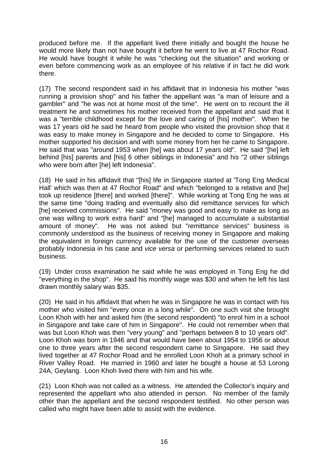produced before me. If the appellant lived there initially and bought the house he would more likely than not have bought it before he went to live at 47 Rochor Road. He would have bought it while he was "checking out the situation" and working or even before commencing work as an employee of his relative if in fact he did work there.

(17) The second respondent said in his affidavit that in Indonesia his mother "was running a provision shop" and his father the appellant was "a man of leisure and a gambler" and "he was not at home most of the time". He went on to recount the ill treatment he and sometimes his mother received from the appellant and said that it was a "terrible childhood except for the love and caring of [his] mother". When he was 17 years old he said he heard from people who visited the provision shop that it was easy to make money in Singapore and he decided to come to Singapore. His mother supported his decision and with some money from her he came to Singapore. He said that was "around 1953 when [he] was about 17 years old". He said "[he] left behind [his] parents and [his] 6 other siblings in Indonesia" and his "2 other siblings who were born after [he] left Indonesia".

(18) He said in his affidavit that "[his] life in Singapore started at 'Tong Eng Medical Hall' which was then at 47 Rochor Road" and which "belonged to a relative and [he] took up residence [there] and worked [there]". While working at Tong Eng he was at the same time "doing trading and eventually also did remittance services for which [he] received commissions". He said "money was good and easy to make as long as one was willing to work extra hard" and "[he] managed to accumulate a substantial amount of money". He was not asked but "remittance services" business is commonly understood as the business of receiving money in Singapore and making the equivalent in foreign currency available for the use of the customer overseas probably Indonesia in his case and *vice versa* or performing services related to such business.

(19) Under cross examination he said while he was employed in Tong Eng he did "everything in the shop". He said his monthly wage was \$30 and when he left his last drawn monthly salary was \$35.

(20) He said in his affidavit that when he was in Singapore he was in contact with his mother who visited him "every once in a long while". On one such visit she brought Loon Khoh with her and asked him (the second respondent) "to enrol him in a school in Singapore and take care of him in Singapore". He could not remember when that was but Loon Khoh was then "very young" and "perhaps between 8 to 10 years old". Loon Khoh was born in 1946 and that would have been about 1954 to 1956 or about one to three years after the second respondent came to Singapore. He said they lived together at 47 Rochor Road and he enrolled Loon Khoh at a primary school in River Valley Road. He married in 1960 and later he bought a house at 53 Lorong 24A, Geylang. Loon Khoh lived there with him and his wife.

(21) Loon Khoh was not called as a witness. He attended the Collector's inquiry and represented the appellant who also attended in person. No member of the family other than the appellant and the second respondent testified. No other person was called who might have been able to assist with the evidence.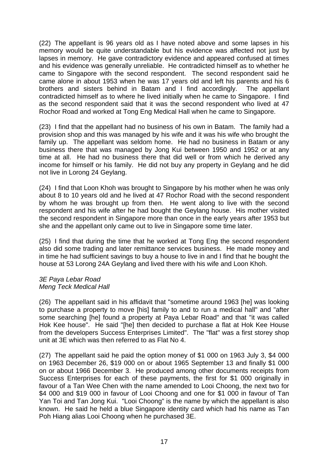(22) The appellant is 96 years old as I have noted above and some lapses in his memory would be quite understandable but his evidence was affected not just by lapses in memory. He gave contradictory evidence and appeared confused at times and his evidence was generally unreliable. He contradicted himself as to whether he came to Singapore with the second respondent. The second respondent said he came alone in about 1953 when he was 17 years old and left his parents and his 6 brothers and sisters behind in Batam and I find accordingly. The appellant contradicted himself as to where he lived initially when he came to Singapore. I find as the second respondent said that it was the second respondent who lived at 47 Rochor Road and worked at Tong Eng Medical Hall when he came to Singapore.

(23) I find that the appellant had no business of his own in Batam. The family had a provision shop and this was managed by his wife and it was his wife who brought the family up. The appellant was seldom home. He had no business in Batam or any business there that was managed by Jong Kui between 1950 and 1952 or at any time at all. He had no business there that did well or from which he derived any income for himself or his family. He did not buy any property in Geylang and he did not live in Lorong 24 Geylang.

(24) I find that Loon Khoh was brought to Singapore by his mother when he was only about 8 to 10 years old and he lived at 47 Rochor Road with the second respondent by whom he was brought up from then. He went along to live with the second respondent and his wife after he had bought the Geylang house. His mother visited the second respondent in Singapore more than once in the early years after 1953 but she and the appellant only came out to live in Singapore some time later.

(25) I find that during the time that he worked at Tong Eng the second respondent also did some trading and later remittance services business. He made money and in time he had sufficient savings to buy a house to live in and I find that he bought the house at 53 Lorong 24A Geylang and lived there with his wife and Loon Khoh.

### *3E Paya Lebar Road Meng Teck Medical Hall*

(26) The appellant said in his affidavit that "sometime around 1963 [he] was looking to purchase a property to move [his] family to and to run a medical hall" and "after some searching [he] found a property at Paya Lebar Road" and that "it was called Hok Kee house". He said "[he] then decided to purchase a flat at Hok Kee House from the developers Success Enterprises Limited". The "flat" was a first storey shop unit at 3E which was then referred to as Flat No 4.

(27) The appellant said he paid the option money of \$1 000 on 1963 July 3, \$4 000 on 1963 December 26, \$19 000 on or about 1965 September 13 and finally \$1 000 on or about 1966 December 3. He produced among other documents receipts from Success Enterprises for each of these payments, the first for \$1 000 originally in favour of a Tan Wee Chen with the name amended to Looi Choong, the next two for \$4 000 and \$19 000 in favour of Looi Choong and one for \$1 000 in favour of Tan Yan Toi and Tan Jong Kui. "Looi Choong" is the name by which the appellant is also known. He said he held a blue Singapore identity card which had his name as Tan Poh Hiang alias Looi Choong when he purchased 3E.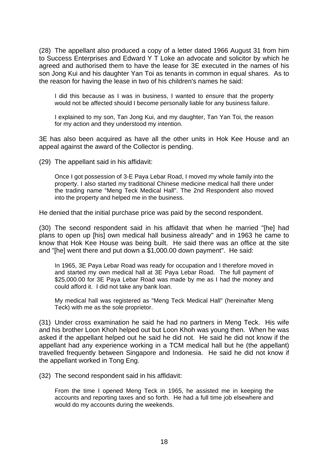(28) The appellant also produced a copy of a letter dated 1966 August 31 from him to Success Enterprises and Edward Y T Loke an advocate and solicitor by which he agreed and authorised them to have the lease for 3E executed in the names of his son Jong Kui and his daughter Yan Toi as tenants in common in equal shares. As to the reason for having the lease in two of his children's names he said:

I did this because as I was in business, I wanted to ensure that the property would not be affected should I become personally liable for any business failure.

I explained to my son, Tan Jong Kui, and my daughter, Tan Yan Toi, the reason for my action and they understood my intention.

3E has also been acquired as have all the other units in Hok Kee House and an appeal against the award of the Collector is pending.

(29) The appellant said in his affidavit:

Once I got possession of 3-E Paya Lebar Road, I moved my whole family into the property. I also started my traditional Chinese medicine medical hall there under the trading name "Meng Teck Medical Hall". The 2nd Respondent also moved into the property and helped me in the business.

He denied that the initial purchase price was paid by the second respondent.

(30) The second respondent said in his affidavit that when he married "[he] had plans to open up [his] own medical hall business already" and in 1963 he came to know that Hok Kee House was being built. He said there was an office at the site and "[he] went there and put down a  $$1,000.00$  down payment". He said:

In 1965, 3E Paya Lebar Road was ready for occupation and I therefore moved in and started my own medical hall at 3E Paya Lebar Road. The full payment of \$25,000.00 for 3E Paya Lebar Road was made by me as I had the money and could afford it. I did not take any bank loan.

My medical hall was registered as "Meng Teck Medical Hall" (hereinafter Meng Teck) with me as the sole proprietor.

(31) Under cross examination he said he had no partners in Meng Teck. His wife and his brother Loon Khoh helped out but Loon Khoh was young then. When he was asked if the appellant helped out he said he did not. He said he did not know if the appellant had any experience working in a TCM medical hall but he (the appellant) travelled frequently between Singapore and Indonesia. He said he did not know if the appellant worked in Tong Eng.

(32) The second respondent said in his affidavit:

From the time I opened Meng Teck in 1965, he assisted me in keeping the accounts and reporting taxes and so forth. He had a full time job elsewhere and would do my accounts during the weekends.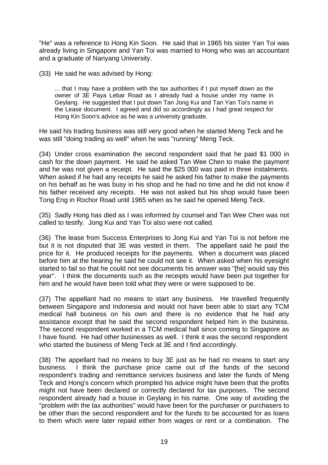"He" was a reference to Hong Kin Soon. He said that in 1965 his sister Yan Toi was already living in Singapore and Yan Toi was married to Hong who was an accountant and a graduate of Nanyang University.

(33) He said he was advised by Hong:

... that I may have a problem with the tax authorities if I put myself down as the owner of 3E Paya Lebar Road as I already had a house under my name in Geylang. He suggested that I put down Tan Jong Kui and Tan Yan Toi's name in the Lease document. I agreed and did so accordingly as I had great respect for Hong Kin Soon's advice as he was a university graduate.

He said his trading business was still very good when he started Meng Teck and he was still "doing trading as well" when he was "running" Meng Teck.

(34) Under cross examination the second respondent said that he paid \$1 000 in cash for the down payment. He said he asked Tan Wee Chen to make the payment and he was not given a receipt. He said the \$25 000 was paid in three instalments. When asked if he had any receipts he said he asked his father to make the payments on his behalf as he was busy in his shop and he had no time and he did not know if his father received any receipts. He was not asked but his shop would have been Tong Eng in Rochor Road until 1965 when as he said he opened Meng Teck.

(35) Sadly Hong has died as I was informed by counsel and Tan Wee Chen was not called to testify. Jong Kui and Yan Toi also were not called.

(36) The lease from Success Enterprises to Jong Kui and Yan Toi is not before me but it is not disputed that 3E was vested in them. The appellant said he paid the price for it. He produced receipts for the payments. When a document was placed before him at the hearing he said he could not see it. When asked when his eyesight started to fail so that he could not see documents his answer was "[he] would say this year". I think the documents such as the receipts would have been put together for him and he would have been told what they were or were supposed to be.

(37) The appellant had no means to start any business. He travelled frequently between Singapore and Indonesia and would not have been able to start any TCM medical hall business on his own and there is no evidence that he had any assistance except that he said the second respondent helped him in the business. The second respondent worked in a TCM medical hall since coming to Singapore as I have found. He had other businesses as well. I think it was the second respondent who started the business of Meng Teck at 3E and I find accordingly.

(38) The appellant had no means to buy 3E just as he had no means to start any business. I think the purchase price came out of the funds of the second respondent's trading and remittance services business and later the funds of Meng Teck and Hong's concern which prompted his advice might have been that the profits might not have been declared or correctly declared for tax purposes. The second respondent already had a house in Geylang in his name. One way of avoiding the "problem with the tax authorities" would have been for the purchaser or purchasers to be other than the second respondent and for the funds to be accounted for as loans to them which were later repaid either from wages or rent or a combination. The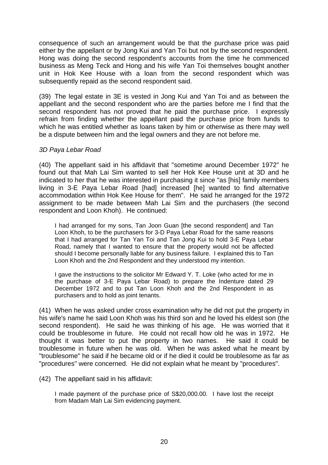consequence of such an arrangement would be that the purchase price was paid either by the appellant or by Jong Kui and Yan Toi but not by the second respondent. Hong was doing the second respondent's accounts from the time he commenced business as Meng Teck and Hong and his wife Yan Toi themselves bought another unit in Hok Kee House with a loan from the second respondent which was subsequently repaid as the second respondent said.

(39) The legal estate in 3E is vested in Jong Kui and Yan Toi and as between the appellant and the second respondent who are the parties before me I find that the second respondent has not proved that he paid the purchase price. I expressly refrain from finding whether the appellant paid the purchase price from funds to which he was entitled whether as loans taken by him or otherwise as there may well be a dispute between him and the legal owners and they are not before me.

## *3D Paya Lebar Road*

(40) The appellant said in his affidavit that "sometime around December 1972" he found out that Mah Lai Sim wanted to sell her Hok Kee House unit at 3D and he indicated to her that he was interested in purchasing it since "as [his] family members living in 3-E Paya Lebar Road [had] increased [he] wanted to find alternative accommodation within Hok Kee House for them". He said he arranged for the 1972 assignment to be made between Mah Lai Sim and the purchasers (the second respondent and Loon Khoh). He continued:

I had arranged for my sons, Tan Joon Guan [the second respondent] and Tan Loon Khoh, to be the purchasers for 3-D Paya Lebar Road for the same reasons that I had arranged for Tan Yan Toi and Tan Jong Kui to hold 3-E Paya Lebar Road, namely that I wanted to ensure that the property would not be affected should I become personally liable for any business failure. I explained this to Tan Loon Khoh and the 2nd Respondent and they understood my intention.

I gave the instructions to the solicitor Mr Edward Y. T. Loke (who acted for me in the purchase of 3-E Paya Lebar Road) to prepare the Indenture dated 29 December 1972 and to put Tan Loon Khoh and the 2nd Respondent in as purchasers and to hold as joint tenants.

(41) When he was asked under cross examination why he did not put the property in his wife's name he said Loon Khoh was his third son and he loved his eldest son (the second respondent). He said he was thinking of his age. He was worried that it could be troublesome in future. He could not recall how old he was in 1972. He thought it was better to put the property in two names. He said it could be troublesome in future when he was old. When he was asked what he meant by "troublesome" he said if he became old or if he died it could be troublesome as far as "procedures" were concerned. He did not explain what he meant by "procedures".

### (42) The appellant said in his affidavit:

I made payment of the purchase price of S\$20,000.00. I have lost the receipt from Madam Mah Lai Sim evidencing payment.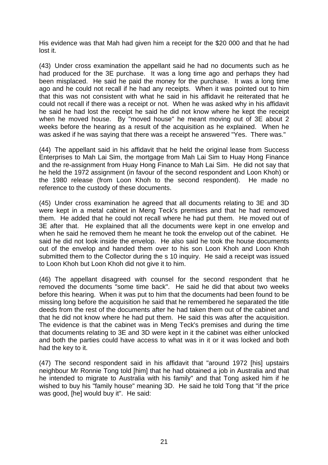His evidence was that Mah had given him a receipt for the \$20 000 and that he had lost it.

(43) Under cross examination the appellant said he had no documents such as he had produced for the 3E purchase. It was a long time ago and perhaps they had been misplaced. He said he paid the money for the purchase. It was a long time ago and he could not recall if he had any receipts. When it was pointed out to him that this was not consistent with what he said in his affidavit he reiterated that he could not recall if there was a receipt or not. When he was asked why in his affidavit he said he had lost the receipt he said he did not know where he kept the receipt when he moved house. By "moved house" he meant moving out of 3E about 2 weeks before the hearing as a result of the acquisition as he explained. When he was asked if he was saying that there was a receipt he answered "Yes. There was."

(44) The appellant said in his affidavit that he held the original lease from Success Enterprises to Mah Lai Sim, the mortgage from Mah Lai Sim to Huay Hong Finance and the re-assignment from Huay Hong Finance to Mah Lai Sim. He did not say that he held the 1972 assignment (in favour of the second respondent and Loon Khoh) or the 1980 release (from Loon Khoh to the second respondent). He made no reference to the custody of these documents.

(45) Under cross examination he agreed that all documents relating to 3E and 3D were kept in a metal cabinet in Meng Teck's premises and that he had removed them. He added that he could not recall where he had put them. He moved out of 3E after that. He explained that all the documents were kept in one envelop and when he said he removed them he meant he took the envelop out of the cabinet. He said he did not look inside the envelop. He also said he took the house documents out of the envelop and handed them over to his son Loon Khoh and Loon Khoh submitted them to the Collector during the s 10 inquiry. He said a receipt was issued to Loon Khoh but Loon Khoh did not give it to him.

(46) The appellant disagreed with counsel for the second respondent that he removed the documents "some time back". He said he did that about two weeks before this hearing. When it was put to him that the documents had been found to be missing long before the acquisition he said that he remembered he separated the title deeds from the rest of the documents after he had taken them out of the cabinet and that he did not know where he had put them. He said this was after the acquisition. The evidence is that the cabinet was in Meng Teck's premises and during the time that documents relating to 3E and 3D were kept in it the cabinet was either unlocked and both the parties could have access to what was in it or it was locked and both had the key to it.

(47) The second respondent said in his affidavit that "around 1972 [his] upstairs neighbour Mr Ronnie Tong told [him] that he had obtained a job in Australia and that he intended to migrate to Australia with his family" and that Tong asked him if he wished to buy his "family house" meaning 3D. He said he told Tong that "if the price was good, [he] would buy it". He said: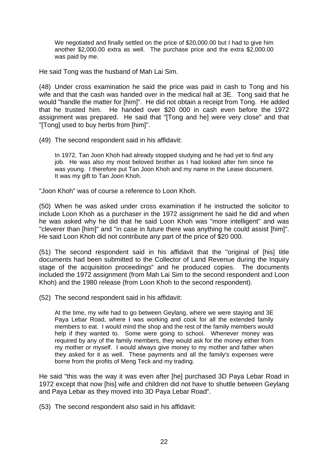We negotiated and finally settled on the price of \$20,000.00 but I had to give him another \$2,000.00 extra as well. The purchase price and the extra \$2,000.00 was paid by me.

He said Tong was the husband of Mah Lai Sim.

(48) Under cross examination he said the price was paid in cash to Tong and his wife and that the cash was handed over in the medical hall at 3E. Tong said that he would "handle the matter for [him]". He did not obtain a receipt from Tong. He added that he trusted him. He handed over \$20 000 in cash even before the 1972 assignment was prepared. He said that "[Tong and he] were very close" and that "[Tong] used to buy herbs from [him]".

(49) The second respondent said in his affidavit:

In 1972, Tan Joon Khoh had already stopped studying and he had yet to find any job. He was also my most beloved brother as I had looked after him since he was young. I therefore put Tan Joon Khoh and my name in the Lease document. It was my gift to Tan Joon Khoh.

"Joon Khoh" was of course a reference to Loon Khoh.

(50) When he was asked under cross examination if he instructed the solicitor to include Loon Khoh as a purchaser in the 1972 assignment he said he did and when he was asked why he did that he said Loon Khoh was "more intelligent" and was "cleverer than [him]" and "in case in future there was anything he could assist [him]". He said Loon Khoh did not contribute any part of the price of \$20 000.

(51) The second respondent said in his affidavit that the "original of [his] title documents had been submitted to the Collector of Land Revenue during the Inquiry stage of the acquisition proceedings" and he produced copies. The documents included the 1972 assignment (from Mah Lai Sim to the second respondent and Loon Khoh) and the 1980 release (from Loon Khoh to the second respondent).

(52) The second respondent said in his affidavit:

At the time, my wife had to go between Geylang, where we were staying and 3E Paya Lebar Road, where I was working and cook for all the extended family members to eat. I would mind the shop and the rest of the family members would help if they wanted to. Some were going to school. Whenever money was required by any of the family members, they would ask for the money either from my mother or myself. I would always give money to my mother and father when they asked for it as well. These payments and all the family's expenses were borne from the profits of Meng Teck and my trading.

He said "this was the way it was even after [he] purchased 3D Paya Lebar Road in 1972 except that now [his] wife and children did not have to shuttle between Geylang and Paya Lebar as they moved into 3D Paya Lebar Road".

(53) The second respondent also said in his affidavit: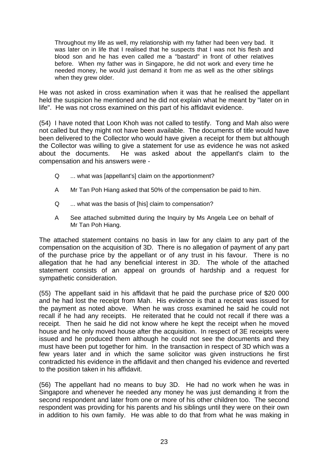Throughout my life as well, my relationship with my father had been very bad. It was later on in life that I realised that he suspects that I was not his flesh and blood son and he has even called me a "bastard" in front of other relatives before. When my father was in Singapore, he did not work and every time he needed money, he would just demand it from me as well as the other siblings when they grew older.

He was not asked in cross examination when it was that he realised the appellant held the suspicion he mentioned and he did not explain what he meant by "later on in life". He was not cross examined on this part of his affidavit evidence.

(54) I have noted that Loon Khoh was not called to testify. Tong and Mah also were not called but they might not have been available. The documents of title would have been delivered to the Collector who would have given a receipt for them but although the Collector was willing to give a statement for use as evidence he was not asked about the documents. He was asked about the appellant's claim to the compensation and his answers were -

- Q ... what was [appellant's] claim on the apportionment?
- A Mr Tan Poh Hiang asked that 50% of the compensation be paid to him.
- Q ... what was the basis of [his] claim to compensation?
- A See attached submitted during the Inquiry by Ms Angela Lee on behalf of Mr Tan Poh Hiang.

The attached statement contains no basis in law for any claim to any part of the compensation on the acquisition of 3D. There is no allegation of payment of any part of the purchase price by the appellant or of any trust in his favour. There is no allegation that he had any beneficial interest in 3D. The whole of the attached statement consists of an appeal on grounds of hardship and a request for sympathetic consideration.

(55) The appellant said in his affidavit that he paid the purchase price of \$20 000 and he had lost the receipt from Mah. His evidence is that a receipt was issued for the payment as noted above. When he was cross examined he said he could not recall if he had any receipts. He reiterated that he could not recall if there was a receipt. Then he said he did not know where he kept the receipt when he moved house and he only moved house after the acquisition. In respect of 3E receipts were issued and he produced them although he could not see the documents and they must have been put together for him. In the transaction in respect of 3D which was a few years later and in which the same solicitor was given instructions he first contradicted his evidence in the affidavit and then changed his evidence and reverted to the position taken in his affidavit.

(56) The appellant had no means to buy 3D. He had no work when he was in Singapore and whenever he needed any money he was just demanding it from the second respondent and later from one or more of his other children too. The second respondent was providing for his parents and his siblings until they were on their own in addition to his own family. He was able to do that from what he was making in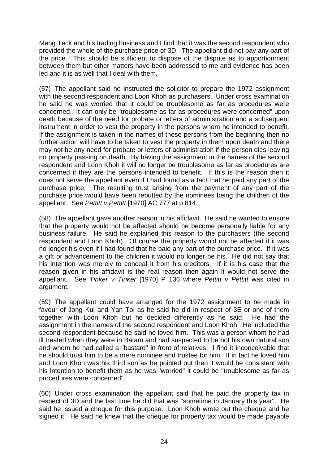Meng Teck and his trading business and I find that it was the second respondent who provided the whole of the purchase price of 3D. The appellant did not pay any part of the price. This should be sufficient to dispose of the dispute as to apportionment between them but other matters have been addressed to me and evidence has been led and it is as well that I deal with them.

(57) The appellant said he instructed the solicitor to prepare the 1972 assignment with the second respondent and Loon Khoh as purchasers. Under cross examination he said he was worried that it could be troublesome as far as procedures were concerned. It can only be "troublesome as far as procedures were concerned" upon death because of the need for probate or letters of administration and a subsequent instrument in order to vest the property in the persons whom he intended to benefit. If the assignment is taken in the names of these persons from the beginning then no further action will have to be taken to vest the property in them upon death and there may not be any need for probate or letters of administration if the person dies leaving no property passing on death. By having the assignment in the names of the second respondent and Loon Khoh it will no longer be troublesome as far as procedures are concerned if they are the persons intended to benefit. If this is the reason then it does not serve the appellant even if I had found as a fact that he paid any part of the purchase price. The resulting trust arising from the payment of any part of the purchase price would have been rebutted by the nominees being the children of the appellant. See *Pettitt v Pettitt* [1970] AC 777 at p 814.

(58) The appellant gave another reason in his affidavit. He said he wanted to ensure that the property would not be affected should he become personally liable for any business failure. He said he explained this reason to the purchasers (the second respondent and Loon Khoh). Of course the property would not be affected if it was no longer his even if I had found that he paid any part of the purchase price. If it was a gift or advancement to the children it would no longer be his. He did not say that his intention was merely to conceal it from his creditors. If it is his case that the reason given in his affidavit is the real reason then again it would not serve the appellant. See *Tinker v Tinker* [1970] P 136 where *Pettitt v Pettitt* was cited in argument.

(59) The appellant could have arranged for the 1972 assignment to be made in favour of Jong Kui and Yan Toi as he said he did in respect of 3E or one of them together with Loon Khoh but he decided differently as he said. He had the assignment in the names of the second respondent and Loon Khoh. He included the second respondent because he said he loved him. This was a person whom he had ill treated when they were in Batam and had suspected to be not his own natural son and whom he had called a "bastard" in front of relatives. I find it inconceivable that he should trust him to be a mere nominee and trustee for him. If in fact he loved him and Loon Khoh was his third son as he pointed out then it would be consistent with his intention to benefit them as he was "worried" it could be "troublesome as far as procedures were concerned".

(60) Under cross examination the appellant said that he paid the property tax in respect of 3D and the last time he did that was "sometime in January this year". He said he issued a cheque for this purpose. Loon Khoh wrote out the cheque and he signed it. He said he knew that the cheque for property tax would be made payable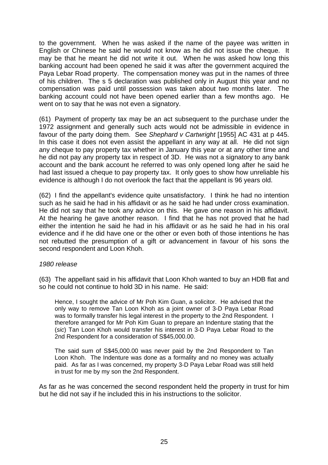to the government. When he was asked if the name of the payee was written in English or Chinese he said he would not know as he did not issue the cheque. It may be that he meant he did not write it out. When he was asked how long this banking account had been opened he said it was after the government acquired the Paya Lebar Road property. The compensation money was put in the names of three of his children. The s 5 declaration was published only in August this year and no compensation was paid until possession was taken about two months later. The banking account could not have been opened earlier than a few months ago. He went on to say that he was not even a signatory.

(61) Payment of property tax may be an act subsequent to the purchase under the 1972 assignment and generally such acts would not be admissible in evidence in favour of the party doing them. See *Shephard v Cartwright* [1955] AC 431 at p 445. In this case it does not even assist the appellant in any way at all. He did not sign any cheque to pay property tax whether in January this year or at any other time and he did not pay any property tax in respect of 3D. He was not a signatory to any bank account and the bank account he referred to was only opened long after he said he had last issued a cheque to pay property tax. It only goes to show how unreliable his evidence is although I do not overlook the fact that the appellant is 96 years old.

(62) I find the appellant's evidence quite unsatisfactory. I think he had no intention such as he said he had in his affidavit or as he said he had under cross examination. He did not say that he took any advice on this. He gave one reason in his affidavit. At the hearing he gave another reason. I find that he has not proved that he had either the intention he said he had in his affidavit or as he said he had in his oral evidence and if he did have one or the other or even both of those intentions he has not rebutted the presumption of a gift or advancement in favour of his sons the second respondent and Loon Khoh.

## *1980 release*

(63) The appellant said in his affidavit that Loon Khoh wanted to buy an HDB flat and so he could not continue to hold 3D in his name. He said:

Hence, I sought the advice of Mr Poh Kim Guan, a solicitor. He advised that the only way to remove Tan Loon Khoh as a joint owner of 3-D Paya Lebar Road was to formally transfer his legal interest in the property to the 2nd Respondent. I therefore arranged for Mr Poh Kim Guan to prepare an Indenture stating that the (*sic*) Tan Loon Khoh would transfer his interest in 3-D Paya Lebar Road to the 2nd Respondent for a consideration of S\$45,000.00.

The said sum of S\$45,000.00 was never paid by the 2nd Respondent to Tan Loon Khoh. The Indenture was done as a formality and no money was actually paid. As far as I was concerned, my property 3-D Paya Lebar Road was still held in trust for me by my son the 2nd Respondent.

As far as he was concerned the second respondent held the property in trust for him but he did not say if he included this in his instructions to the solicitor.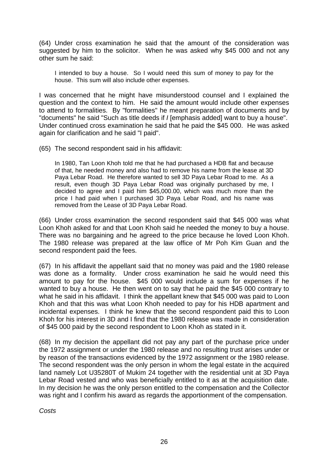(64) Under cross examination he said that the amount of the consideration was suggested by him to the solicitor. When he was asked why \$45 000 and not any other sum he said:

I intended to buy a house. So I would need this sum of money to pay for the house. This sum will also include other expenses.

I was concerned that he might have misunderstood counsel and I explained the question and the context to him. He said the amount would include other expenses to attend to formalities. By "formalities" he meant preparation of documents and by "documents" he said "Such as title deeds if *I* [emphasis added] want to buy a house". Under continued cross examination he said that he paid the \$45 000. He was asked again for clarification and he said "I paid".

(65) The second respondent said in his affidavit:

In 1980, Tan Loon Khoh told me that he had purchased a HDB flat and because of that, he needed money and also had to remove his name from the lease at 3D Paya Lebar Road. He therefore wanted to sell 3D Paya Lebar Road to me. As a result, even though 3D Paya Lebar Road was originally purchased by me, I decided to agree and I paid him \$45,000.00, which was much more than the price I had paid when I purchased 3D Paya Lebar Road, and his name was removed from the Lease of 3D Paya Lebar Road.

(66) Under cross examination the second respondent said that \$45 000 was what Loon Khoh asked for and that Loon Khoh said he needed the money to buy a house. There was no bargaining and he agreed to the price because he loved Loon Khoh. The 1980 release was prepared at the law office of Mr Poh Kim Guan and the second respondent paid the fees.

(67) In his affidavit the appellant said that no money was paid and the 1980 release was done as a formality. Under cross examination he said he would need this amount to pay for the house. \$45 000 would include a sum for expenses if he wanted to buy a house. He then went on to say that he paid the \$45 000 contrary to what he said in his affidavit. I think the appellant knew that \$45 000 was paid to Loon Khoh and that this was what Loon Khoh needed to pay for his HDB apartment and incidental expenses. I think he knew that the second respondent paid this to Loon Khoh for his interest in 3D and I find that the 1980 release was made in consideration of \$45 000 paid by the second respondent to Loon Khoh as stated in it.

(68) In my decision the appellant did not pay any part of the purchase price under the 1972 assignment or under the 1980 release and no resulting trust arises under or by reason of the transactions evidenced by the 1972 assignment or the 1980 release. The second respondent was the only person in whom the legal estate in the acquired land namely Lot U35280T of Mukim 24 together with the residential unit at 3D Paya Lebar Road vested and who was beneficially entitled to it as at the acquisition date. In my decision he was the only person entitled to the compensation and the Collector was right and I confirm his award as regards the apportionment of the compensation.

*Costs*